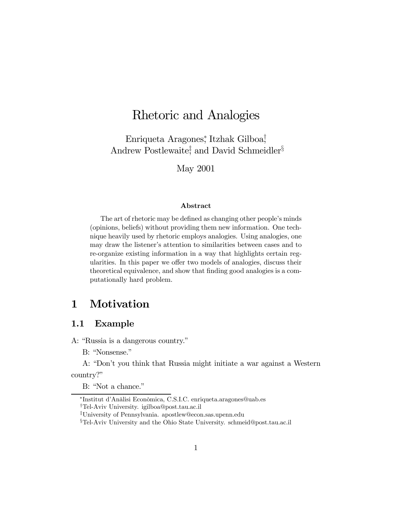# Rhetoric and Analogies

Enriqueta Aragones<sup>∗</sup> , Itzhak Gilboa† , Andrew Postlewaite<sup>†</sup>, and David Schmeidler<sup>§</sup>

May 2001

#### Abstract

The art of rhetoric may be defined as changing other people's minds (opinions, beliefs) without providing them new information. One technique heavily used by rhetoric employs analogies. Using analogies, one may draw the listener's attention to similarities between cases and to re-organize existing information in a way that highlights certain regularities. In this paper we offer two models of analogies, discuss their theoretical equivalence, and show that finding good analogies is a computationally hard problem.

## 1 Motivation

### 1.1 Example

A: "Russia is a dangerous country."

B: "Nonsense."

A: "Don't you think that Russia might initiate a war against a Western country?"

B: "Not a chance."

<sup>∗</sup>Institut d'Anàlisi Econòmica, C.S.I.C. enriqueta.aragones@uab.es †Tel-Aviv University. igilboa@post.tau.ac.il

<sup>‡</sup>University of Pennsylvania. apostlew@econ.sas.upenn.edu

<sup>§</sup>Tel-Aviv University and the Ohio State University. schmeid@post.tau.ac.il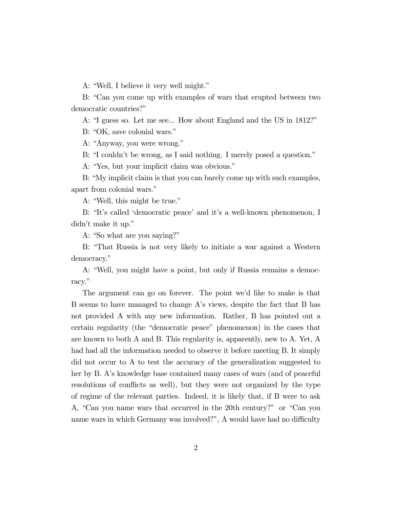A: "Well, I believe it very well might."

B: "Can you come up with examples of wars that erupted between two democratic countries?"

A: "I guess so. Let me see... How about England and the US in 1812?"

B: "OK, save colonial wars."

A: "Anyway, you were wrong."

B: "I couldn't be wrong, as I said nothing. I merely posed a question."

A: "Yes, but your implicit claim was obvious."

B: "My implicit claim is that you can barely come up with such examples, apart from colonial wars."

A: "Well, this might be true."

B: "It's called 'democratic peace' and it's a well-known phenomenon, I didn't make it up."

A: "So what are you saying?"

B: "That Russia is not very likely to initiate a war against a Western democracy."

A: "Well, you might have a point, but only if Russia remains a democracy."

The argument can go on forever. The point we'd like to make is that B seems to have managed to change A's views, despite the fact that B has not provided A with any new information. Rather, B has pointed out a certain regularity (the "democratic peace" phenomenon) in the cases that are known to both A and B. This regularity is, apparently, new to A. Yet, A had had all the information needed to observe it before meeting B. It simply did not occur to A to test the accuracy of the generalization suggested to her by B. A's knowledge base contained many cases of wars (and of peaceful resolutions of conflicts as well), but they were not organized by the type of regime of the relevant parties. Indeed, it is likely that, if B were to ask A, "Can you name wars that occurred in the 20th century?" or "Can you name wars in which Germany was involved?", A would have had no difficulty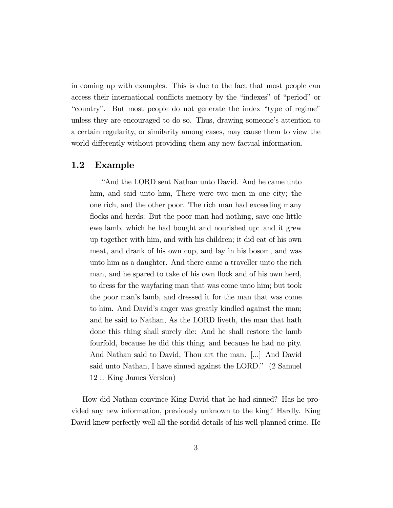in coming up with examples. This is due to the fact that most people can access their international conflicts memory by the "indexes" of "period" or "country". But most people do not generate the index "type of regime" unless they are encouraged to do so. Thus, drawing someone's attention to a certain regularity, or similarity among cases, may cause them to view the world differently without providing them any new factual information.

#### 1.2 Example

"And the LORD sent Nathan unto David. And he came unto him, and said unto him, There were two men in one city; the one rich, and the other poor. The rich man had exceeding many flocks and herds: But the poor man had nothing, save one little ewe lamb, which he had bought and nourished up: and it grew up together with him, and with his children; it did eat of his own meat, and drank of his own cup, and lay in his bosom, and was unto him as a daughter. And there came a traveller unto the rich man, and he spared to take of his own flock and of his own herd, to dress for the wayfaring man that was come unto him; but took the poor man's lamb, and dressed it for the man that was come to him. And David's anger was greatly kindled against the man; and he said to Nathan, As the LORD liveth, the man that hath done this thing shall surely die: And he shall restore the lamb fourfold, because he did this thing, and because he had no pity. And Nathan said to David, Thou art the man. [...] And David said unto Nathan, I have sinned against the LORD." (2 Samuel 12 :: King James Version)

How did Nathan convince King David that he had sinned? Has he provided any new information, previously unknown to the king? Hardly. King David knew perfectly well all the sordid details of his well-planned crime. He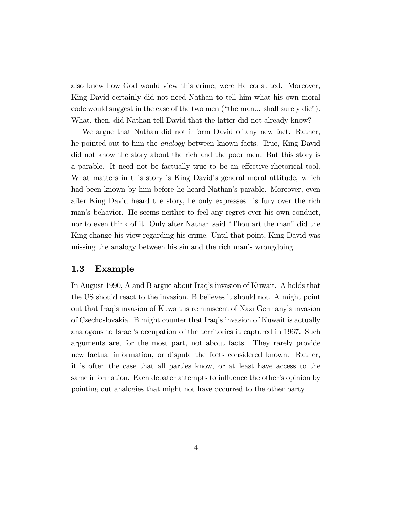also knew how God would view this crime, were He consulted. Moreover, King David certainly did not need Nathan to tell him what his own moral code would suggest in the case of the two men ("the man... shall surely die"). What, then, did Nathan tell David that the latter did not already know?

We argue that Nathan did not inform David of any new fact. Rather, he pointed out to him the analogy between known facts. True, King David did not know the story about the rich and the poor men. But this story is a parable. It need not be factually true to be an effective rhetorical tool. What matters in this story is King David's general moral attitude, which had been known by him before he heard Nathan's parable. Moreover, even after King David heard the story, he only expresses his fury over the rich man's behavior. He seems neither to feel any regret over his own conduct, nor to even think of it. Only after Nathan said "Thou art the man" did the King change his view regarding his crime. Until that point, King David was missing the analogy between his sin and the rich man's wrongdoing.

### 1.3 Example

In August 1990, A and B argue about Iraq's invasion of Kuwait. A holds that the US should react to the invasion. B believes it should not. A might point out that Iraq's invasion of Kuwait is reminiscent of Nazi Germany's invasion of Czechoslovakia. B might counter that Iraq's invasion of Kuwait is actually analogous to Israel's occupation of the territories it captured in 1967. Such arguments are, for the most part, not about facts. They rarely provide new factual information, or dispute the facts considered known. Rather, it is often the case that all parties know, or at least have access to the same information. Each debater attempts to influence the other's opinion by pointing out analogies that might not have occurred to the other party.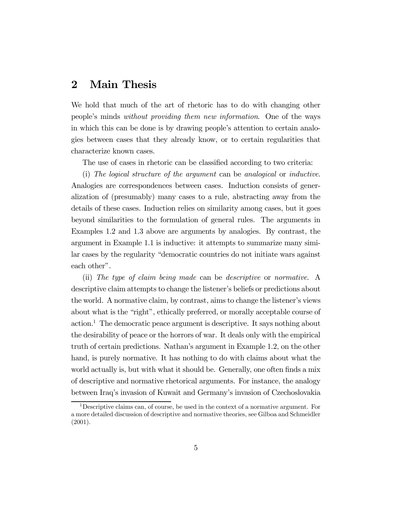### 2 Main Thesis

We hold that much of the art of rhetoric has to do with changing other people's minds without providing them new information. One of the ways in which this can be done is by drawing people's attention to certain analogies between cases that they already know, or to certain regularities that characterize known cases.

The use of cases in rhetoric can be classified according to two criteria:

(i) The logical structure of the argument can be analogical or inductive. Analogies are correspondences between cases. Induction consists of generalization of (presumably) many cases to a rule, abstracting away from the details of these cases. Induction relies on similarity among cases, but it goes beyond similarities to the formulation of general rules. The arguments in Examples 1.2 and 1.3 above are arguments by analogies. By contrast, the argument in Example 1.1 is inductive: it attempts to summarize many similar cases by the regularity "democratic countries do not initiate wars against each other".

(ii) The type of claim being made can be descriptive or normative. A descriptive claim attempts to change the listener's beliefs or predictions about the world. A normative claim, by contrast, aims to change the listener's views about what is the "right", ethically preferred, or morally acceptable course of action.1 The democratic peace argument is descriptive. It says nothing about the desirability of peace or the horrors of war. It deals only with the empirical truth of certain predictions. Nathan's argument in Example 1.2, on the other hand, is purely normative. It has nothing to do with claims about what the world actually is, but with what it should be. Generally, one often finds a mix of descriptive and normative rhetorical arguments. For instance, the analogy between Iraq's invasion of Kuwait and Germany's invasion of Czechoslovakia

<sup>1</sup>Descriptive claims can, of course, be used in the context of a normative argument. For a more detailed discussion of descriptive and normative theories, see Gilboa and Schmeidler (2001).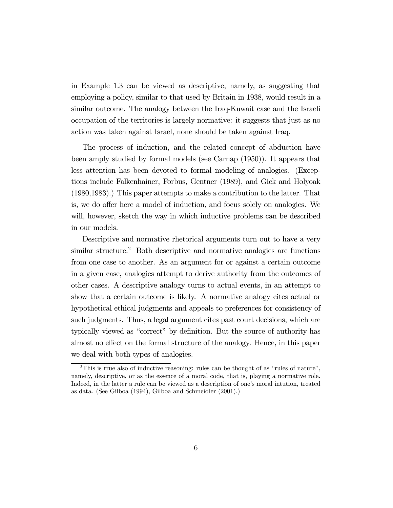in Example 1.3 can be viewed as descriptive, namely, as suggesting that employing a policy, similar to that used by Britain in 1938, would result in a similar outcome. The analogy between the Iraq-Kuwait case and the Israeli occupation of the territories is largely normative: it suggests that just as no action was taken against Israel, none should be taken against Iraq.

The process of induction, and the related concept of abduction have been amply studied by formal models (see Carnap (1950)). It appears that less attention has been devoted to formal modeling of analogies. (Exceptions include Falkenhainer, Forbus, Gentner (1989), and Gick and Holyoak (1980,1983).) This paper attempts to make a contribution to the latter. That is, we do offer here a model of induction, and focus solely on analogies. We will, however, sketch the way in which inductive problems can be described in our models.

Descriptive and normative rhetorical arguments turn out to have a very similar structure.<sup>2</sup> Both descriptive and normative analogies are functions from one case to another. As an argument for or against a certain outcome in a given case, analogies attempt to derive authority from the outcomes of other cases. A descriptive analogy turns to actual events, in an attempt to show that a certain outcome is likely. A normative analogy cites actual or hypothetical ethical judgments and appeals to preferences for consistency of such judgments. Thus, a legal argument cites past court decisions, which are typically viewed as "correct" by definition. But the source of authority has almost no effect on the formal structure of the analogy. Hence, in this paper we deal with both types of analogies.

<sup>2</sup>This is true also of inductive reasoning: rules can be thought of as "rules of nature", namely, descriptive, or as the essence of a moral code, that is, playing a normative role. Indeed, in the latter a rule can be viewed as a description of one's moral intution, treated as data. (See Gilboa (1994), Gilboa and Schmeidler (2001).)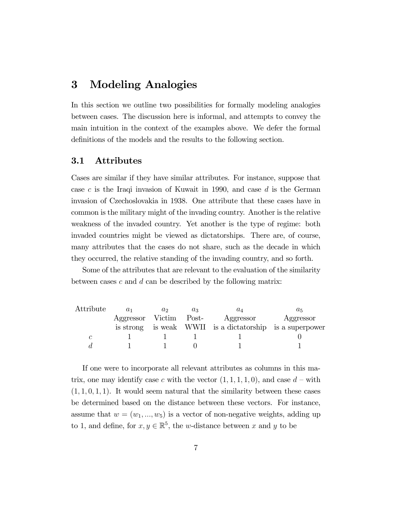## 3 Modeling Analogies

In this section we outline two possibilities for formally modeling analogies between cases. The discussion here is informal, and attempts to convey the main intuition in the context of the examples above. We defer the formal definitions of the models and the results to the following section.

#### 3.1 Attributes

Cases are similar if they have similar attributes. For instance, suppose that case c is the Iraqi invasion of Kuwait in 1990, and case d is the German invasion of Czechoslovakia in 1938. One attribute that these cases have in common is the military might of the invading country. Another is the relative weakness of the invaded country. Yet another is the type of regime: both invaded countries might be viewed as dictatorships. There are, of course, many attributes that the cases do not share, such as the decade in which they occurred, the relative standing of the invading country, and so forth.

Some of the attributes that are relevant to the evaluation of the similarity between cases  $c$  and  $d$  can be described by the following matrix:

| Attribute     | A1                     | a <sub>2</sub> | $u_3$ | $a_4$                                          | $a_{5}$   |
|---------------|------------------------|----------------|-------|------------------------------------------------|-----------|
|               | Aggressor Victim Post- |                |       | Aggressor                                      | Aggressor |
|               | is strong              |                |       | is weak WWII is a dictatorship is a superpower |           |
| $\mathcal{C}$ |                        |                |       |                                                |           |
|               |                        |                |       |                                                |           |

If one were to incorporate all relevant attributes as columns in this matrix, one may identify case c with the vector  $(1, 1, 1, 1, 0)$ , and case  $d$  – with  $(1, 1, 0, 1, 1)$ . It would seem natural that the similarity between these cases be determined based on the distance between these vectors. For instance, assume that  $w = (w_1, ..., w_5)$  is a vector of non-negative weights, adding up to 1, and define, for  $x, y \in \mathbb{R}^5$ , the w-distance between x and y to be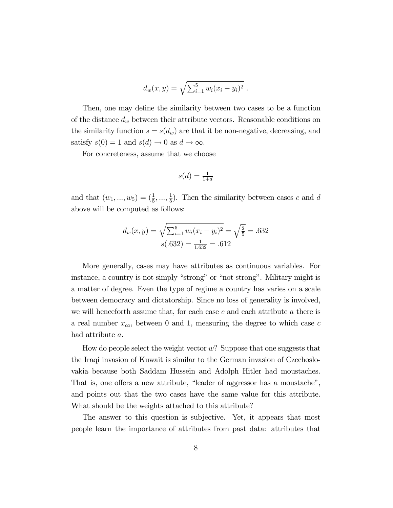$$
d_w(x, y) = \sqrt{\sum_{i=1}^5 w_i (x_i - y_i)^2}.
$$

Then, one may define the similarity between two cases to be a function of the distance  $d_w$  between their attribute vectors. Reasonable conditions on the similarity function  $s = s(d_w)$  are that it be non-negative, decreasing, and satisfy  $s(0) = 1$  and  $s(d) \to 0$  as  $d \to \infty$ .

For concreteness, assume that we choose

$$
s(d) = \frac{1}{1+d}
$$

and that  $(w_1, ..., w_5) = (\frac{1}{5}, ..., \frac{1}{5})$ . Then the similarity between cases c and d above will be computed as follows:

$$
d_w(x, y) = \sqrt{\sum_{i=1}^5 w_i (x_i - y_i)^2} = \sqrt{\frac{2}{5}} = .632
$$

$$
s(.632) = \frac{1}{1.632} = .612
$$

More generally, cases may have attributes as continuous variables. For instance, a country is not simply "strong" or "not strong". Military might is a matter of degree. Even the type of regime a country has varies on a scale between democracy and dictatorship. Since no loss of generality is involved, we will henceforth assume that, for each case  $c$  and each attribute  $a$  there is a real number  $x_{ca}$ , between 0 and 1, measuring the degree to which case c had attribute a.

How do people select the weight vector  $w$ ? Suppose that one suggests that the Iraqi invasion of Kuwait is similar to the German invasion of Czechoslovakia because both Saddam Hussein and Adolph Hitler had moustaches. That is, one offers a new attribute, "leader of aggressor has a moustache", and points out that the two cases have the same value for this attribute. What should be the weights attached to this attribute?

The answer to this question is subjective. Yet, it appears that most people learn the importance of attributes from past data: attributes that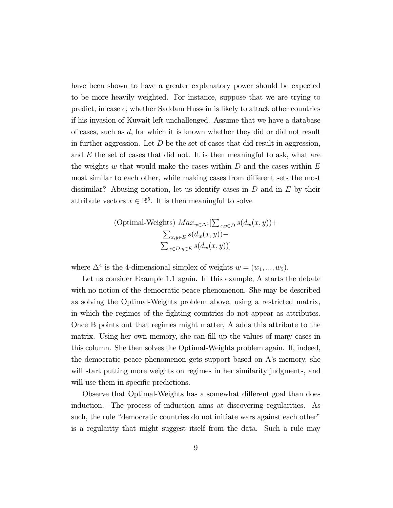have been shown to have a greater explanatory power should be expected to be more heavily weighted. For instance, suppose that we are trying to predict, in case c, whether Saddam Hussein is likely to attack other countries if his invasion of Kuwait left unchallenged. Assume that we have a database of cases, such as d, for which it is known whether they did or did not result in further aggression. Let  $D$  be the set of cases that did result in aggression, and  $E$  the set of cases that did not. It is then meaningful to ask, what are the weights w that would make the cases within  $D$  and the cases within  $E$ most similar to each other, while making cases from different sets the most dissimilar? Abusing notation, let us identify cases in  $D$  and in  $E$  by their attribute vectors  $x \in \mathbb{R}^5$ . It is then meaningful to solve

(Optimal-Weights) 
$$
Max_{w \in \Delta^4}[\sum_{x,y \in D} s(d_w(x,y)) + \sum_{x,y \in E} s(d_w(x,y)) - \sum_{x \in D, y \in E} s(d_w(x,y))]
$$

where  $\Delta^4$  is the 4-dimensional simplex of weights  $w = (w_1, ..., w_5)$ .

Let us consider Example 1.1 again. In this example, A starts the debate with no notion of the democratic peace phenomenon. She may be described as solving the Optimal-Weights problem above, using a restricted matrix, in which the regimes of the fighting countries do not appear as attributes. Once B points out that regimes might matter, A adds this attribute to the matrix. Using her own memory, she can fill up the values of many cases in this column. She then solves the Optimal-Weights problem again. If, indeed, the democratic peace phenomenon gets support based on A's memory, she will start putting more weights on regimes in her similarity judgments, and will use them in specific predictions.

Observe that Optimal-Weights has a somewhat different goal than does induction. The process of induction aims at discovering regularities. As such, the rule "democratic countries do not initiate wars against each other" is a regularity that might suggest itself from the data. Such a rule may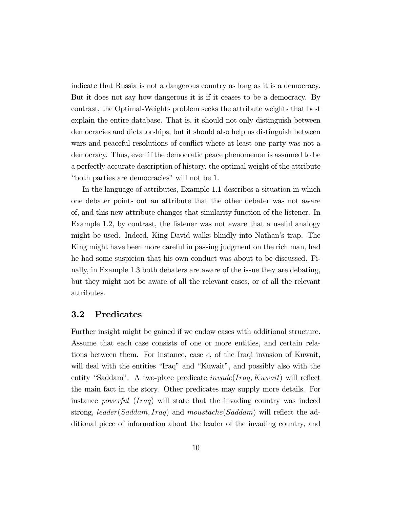indicate that Russia is not a dangerous country as long as it is a democracy. But it does not say how dangerous it is if it ceases to be a democracy. By contrast, the Optimal-Weights problem seeks the attribute weights that best explain the entire database. That is, it should not only distinguish between democracies and dictatorships, but it should also help us distinguish between wars and peaceful resolutions of conflict where at least one party was not a democracy. Thus, even if the democratic peace phenomenon is assumed to be a perfectly accurate description of history, the optimal weight of the attribute "both parties are democracies" will not be 1.

In the language of attributes, Example 1.1 describes a situation in which one debater points out an attribute that the other debater was not aware of, and this new attribute changes that similarity function of the listener. In Example 1.2, by contrast, the listener was not aware that a useful analogy might be used. Indeed, King David walks blindly into Nathan's trap. The King might have been more careful in passing judgment on the rich man, had he had some suspicion that his own conduct was about to be discussed. Finally, in Example 1.3 both debaters are aware of the issue they are debating, but they might not be aware of all the relevant cases, or of all the relevant attributes.

### 3.2 Predicates

Further insight might be gained if we endow cases with additional structure. Assume that each case consists of one or more entities, and certain relations between them. For instance, case c, of the Iraqi invasion of Kuwait, will deal with the entities "Iraq" and "Kuwait", and possibly also with the entity "Saddam". A two-place predicate invade(Iraq, Kuwait) will reflect the main fact in the story. Other predicates may supply more details. For instance *powerful*  $(Iraq)$  will state that the invading country was indeed strong, *leader*(*Saddam*, *Iraq*) and *moustache*(*Saddam*) will reflect the additional piece of information about the leader of the invading country, and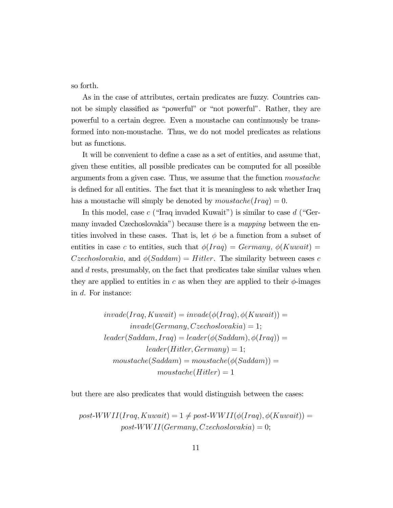so forth.

As in the case of attributes, certain predicates are fuzzy. Countries cannot be simply classified as "powerful" or "not powerful". Rather, they are powerful to a certain degree. Even a moustache can continuously be transformed into non-moustache. Thus, we do not model predicates as relations but as functions.

It will be convenient to define a case as a set of entities, and assume that, given these entities, all possible predicates can be computed for all possible arguments from a given case. Thus, we assume that the function moustache is defined for all entities. The fact that it is meaningless to ask whether Iraq has a moustache will simply be denoted by  $moustache( Iraq)=0$ .

In this model, case  $c$  ("Iraq invaded Kuwait") is similar to case  $d$  ("Germany invaded Czechoslovakia") because there is a *mapping* between the entities involved in these cases. That is, let  $\phi$  be a function from a subset of entities in case c to entities, such that  $\phi(Iraq) = Germany$ ,  $\phi(Kuwait) =$ Czechoslovakia, and  $\phi(Saddam) = Hitler$ . The similarity between cases c and d rests, presumably, on the fact that predicates take similar values when they are applied to entities in c as when they are applied to their  $\phi$ -images in d. For instance:

$$
invade(Traq, Kuwait) = invade(\phi(Traq), \phi(Kuwait)) =
$$

$$
invade(Germany, Czechoslovakia) = 1;
$$

$$
leader(Saddam, Iraq) = leader(\phi(Saddam), \phi(Traq)) =
$$

$$
leader(Hitler, Germany) = 1;
$$

$$
moustache(Saddam) = moustache(\phi(Saddam)) =
$$

$$
moustache(Hitler) = 1
$$

but there are also predicates that would distinguish between the cases:

$$
post-WWII( Iraq, Kuwait) = 1 \neq post-WWII(\phi( Iraq), \phi(Kuwait)) =
$$

$$
post-WWII(Germany, Czechoslovakia) = 0;
$$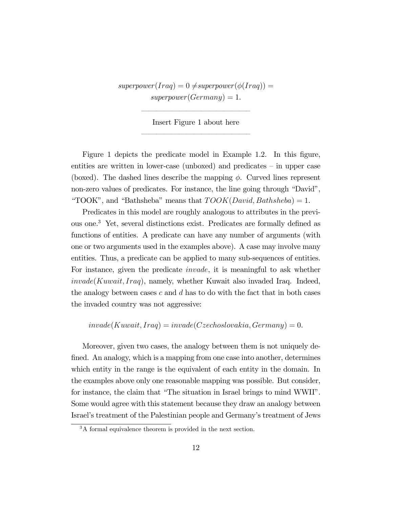$superpower( Iraq) = 0 \neq superpower(\phi( Iraq)) =$  $superpower(Germany)=1.$ 

> $\frac{1}{\sqrt{2}}$ Insert Figure 1 about here ––––––––––––––—

Figure 1 depicts the predicate model in Example 1.2. In this figure, entities are written in lower-case (unboxed) and predicates — in upper case (boxed). The dashed lines describe the mapping  $\phi$ . Curved lines represent non-zero values of predicates. For instance, the line going through "David", "TOOK", and "Bathsheba" means that  $TOOK(David, Bathsheba)=1$ .

Predicates in this model are roughly analogous to attributes in the previous one.3 Yet, several distinctions exist. Predicates are formally defined as functions of entities. A predicate can have any number of arguments (with one or two arguments used in the examples above). A case may involve many entities. Thus, a predicate can be applied to many sub-sequences of entities. For instance, given the predicate invade, it is meaningful to ask whether  $invade(Kuwait, Iraq)$ , namely, whether Kuwait also invaded Iraq. Indeed, the analogy between cases  $c$  and  $d$  has to do with the fact that in both cases the invaded country was not aggressive:

 $invade(Kuwait, Iraq) = invade(Czechoslovakia, Germany)=0.$ 

Moreover, given two cases, the analogy between them is not uniquely defined. An analogy, which is a mapping from one case into another, determines which entity in the range is the equivalent of each entity in the domain. In the examples above only one reasonable mapping was possible. But consider, for instance, the claim that "The situation in Israel brings to mind WWII". Some would agree with this statement because they draw an analogy between Israel's treatment of the Palestinian people and Germany's treatment of Jews

<sup>&</sup>lt;sup>3</sup>A formal equivalence theorem is provided in the next section.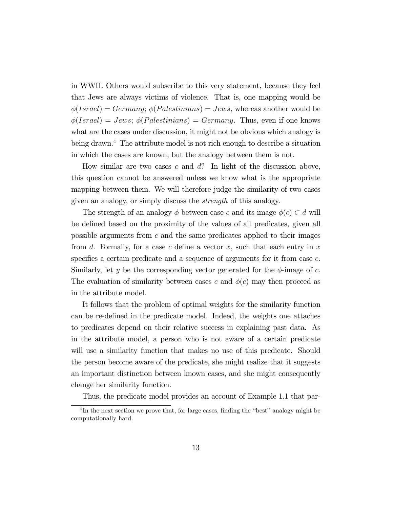in WWII. Others would subscribe to this very statement, because they feel that Jews are always victims of violence. That is, one mapping would be  $\phi(Israel) = Germany; \phi(Palestinians) = Jews,$  whereas another would be  $\phi(Israel) = Jews; \phi(Palestinians) = Germany.$  Thus, even if one knows what are the cases under discussion, it might not be obvious which analogy is being drawn.<sup>4</sup> The attribute model is not rich enough to describe a situation in which the cases are known, but the analogy between them is not.

How similar are two cases  $c$  and  $d$ ? In light of the discussion above, this question cannot be answered unless we know what is the appropriate mapping between them. We will therefore judge the similarity of two cases given an analogy, or simply discuss the strength of this analogy.

The strength of an analogy  $\phi$  between case c and its image  $\phi(c) \subset d$  will be defined based on the proximity of the values of all predicates, given all possible arguments from  $c$  and the same predicates applied to their images from d. Formally, for a case c define a vector x, such that each entry in x specifies a certain predicate and a sequence of arguments for it from case c. Similarly, let y be the corresponding vector generated for the  $\phi$ -image of c. The evaluation of similarity between cases c and  $\phi(c)$  may then proceed as in the attribute model.

It follows that the problem of optimal weights for the similarity function can be re-defined in the predicate model. Indeed, the weights one attaches to predicates depend on their relative success in explaining past data. As in the attribute model, a person who is not aware of a certain predicate will use a similarity function that makes no use of this predicate. Should the person become aware of the predicate, she might realize that it suggests an important distinction between known cases, and she might consequently change her similarity function.

Thus, the predicate model provides an account of Example 1.1 that par-

 ${}^{4}$ In the next section we prove that, for large cases, finding the "best" analogy might be computationally hard.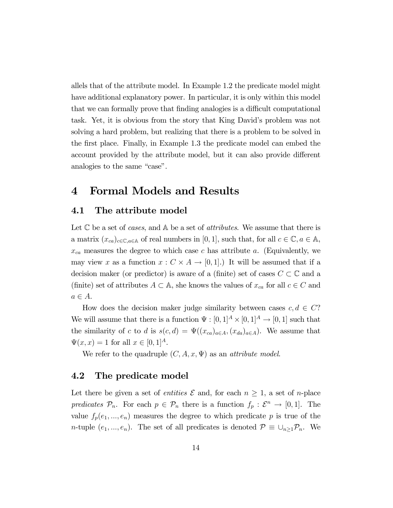allels that of the attribute model. In Example 1.2 the predicate model might have additional explanatory power. In particular, it is only within this model that we can formally prove that finding analogies is a difficult computational task. Yet, it is obvious from the story that King David's problem was not solving a hard problem, but realizing that there is a problem to be solved in the first place. Finally, in Example 1.3 the predicate model can embed the account provided by the attribute model, but it can also provide different analogies to the same "case".

## 4 Formal Models and Results

### 4.1 The attribute model

Let  $\mathbb C$  be a set of *cases*, and  $\mathbb A$  be a set of *attributes*. We assume that there is a matrix  $(x_{ca})_{c \in \mathbb{C}, a \in \mathbb{A}}$  of real numbers in [0, 1], such that, for all  $c \in \mathbb{C}, a \in \mathbb{A}$ ,  $x_{ca}$  measures the degree to which case c has attribute a. (Equivalently, we may view x as a function  $x: C \times A \rightarrow [0, 1]$ . It will be assumed that if a decision maker (or predictor) is aware of a (finite) set of cases  $C \subset \mathbb{C}$  and a (finite) set of attributes  $A \subset A$ , she knows the values of  $x_{ca}$  for all  $c \in C$  and  $a \in A$ .

How does the decision maker judge similarity between cases  $c, d \in C$ ? We will assume that there is a function  $\Psi : [0,1]^A \times [0,1]^A \rightarrow [0,1]$  such that the similarity of c to d is  $s(c,d) = \Psi((x_{ca})_{a \in A}, (x_{da})_{a \in A})$ . We assume that  $\Psi(x, x) = 1$  for all  $x \in [0, 1]^A$ .

We refer to the quadruple  $(C, A, x, \Psi)$  as an *attribute model*.

### 4.2 The predicate model

Let there be given a set of *entities*  $\mathcal E$  and, for each  $n \geq 1$ , a set of *n*-place predicates  $\mathcal{P}_n$ . For each  $p \in \mathcal{P}_n$  there is a function  $f_p : \mathcal{E}^n \to [0,1]$ . The value  $f_p(e_1, ..., e_n)$  measures the degree to which predicate p is true of the *n*-tuple  $(e_1, ..., e_n)$ . The set of all predicates is denoted  $\mathcal{P} \equiv \cup_{n\geq 1} \mathcal{P}_n$ . We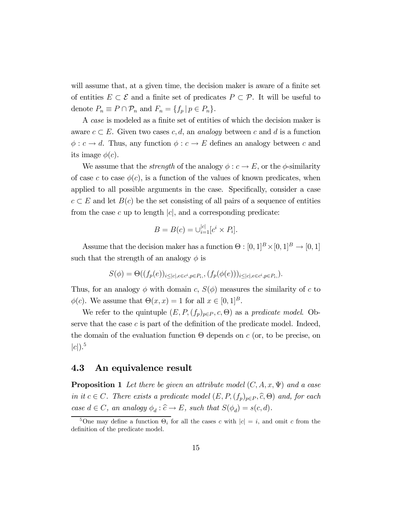will assume that, at a given time, the decision maker is aware of a finite set of entities  $E \subset \mathcal{E}$  and a finite set of predicates  $P \subset \mathcal{P}$ . It will be useful to denote  $P_n \equiv P \cap \mathcal{P}_n$  and  $F_n = \{f_p | p \in P_n\}.$ 

A case is modeled as a finite set of entities of which the decision maker is aware  $c \text{ }\subset E$ . Given two cases c, d, an analogy between c and d is a function  $\phi: c \to d$ . Thus, any function  $\phi: c \to E$  defines an analogy between c and its image  $\phi(c)$ .

We assume that the *strength* of the analogy  $\phi : c \to E$ , or the  $\phi$ -similarity of case c to case  $\phi(c)$ , is a function of the values of known predicates, when applied to all possible arguments in the case. Specifically, consider a case  $c \subset E$  and let  $B(c)$  be the set consisting of all pairs of a sequence of entities from the case c up to length  $|c|$ , and a corresponding predicate:

$$
B = B(c) = \bigcup_{i=1}^{|c|} [c^i \times P_i].
$$

Assume that the decision maker has a function  $\Theta : [0, 1]^B \times [0, 1]^B \rightarrow [0, 1]$ such that the strength of an analogy  $\phi$  is

$$
S(\phi) = \Theta((f_p(e))_{i \leq |c|, e \in c^i, p \in P_i}, (f_p(\phi(e)))_{i \leq |c|, e \in c^i, p \in P_i}).
$$

Thus, for an analogy  $\phi$  with domain c,  $S(\phi)$  measures the similarity of c to  $\phi(c)$ . We assume that  $\Theta(x, x) = 1$  for all  $x \in [0, 1]^B$ .

We refer to the quintuple  $(E, P, (f_p)_{p \in P}, c, \Theta)$  as a *predicate model*. Observe that the case  $c$  is part of the definition of the predicate model. Indeed, the domain of the evaluation function  $\Theta$  depends on c (or, to be precise, on  $|c|$ ).<sup>5</sup>

### 4.3 An equivalence result

**Proposition 1** Let there be given an attribute model  $(C, A, x, \Psi)$  and a case in it  $c \in C$ . There exists a predicate model  $(E, P, (f_p)_{p \in P}, \hat{c}, \Theta)$  and, for each case  $d \in C$ , an analogy  $\phi_d : \hat{c} \to E$ , such that  $S(\phi_d) = s(c, d)$ .

<sup>&</sup>lt;sup>5</sup>One may define a function  $\Theta_i$  for all the cases c with  $|c| = i$ , and omit c from the definition of the predicate model.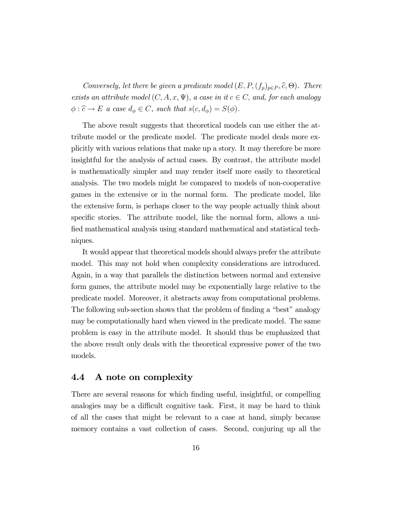Conversely, let there be given a predicate model  $(E, P, (f_p)_{p \in P}, \hat{c}, \Theta)$ . There exists an attribute model  $(C, A, x, \Psi)$ , a case in it  $c \in C$ , and, for each analogy  $\phi : \widehat{c} \to E$  a case  $d_{\phi} \in C$ , such that  $s(c, d_{\phi}) = S(\phi)$ .

The above result suggests that theoretical models can use either the attribute model or the predicate model. The predicate model deals more explicitly with various relations that make up a story. It may therefore be more insightful for the analysis of actual cases. By contrast, the attribute model is mathematically simpler and may render itself more easily to theoretical analysis. The two models might be compared to models of non-cooperative games in the extensive or in the normal form. The predicate model, like the extensive form, is perhaps closer to the way people actually think about specific stories. The attribute model, like the normal form, allows a unified mathematical analysis using standard mathematical and statistical techniques.

It would appear that theoretical models should always prefer the attribute model. This may not hold when complexity considerations are introduced. Again, in a way that parallels the distinction between normal and extensive form games, the attribute model may be exponentially large relative to the predicate model. Moreover, it abstracts away from computational problems. The following sub-section shows that the problem of finding a "best" analogy may be computationally hard when viewed in the predicate model. The same problem is easy in the attribute model. It should thus be emphasized that the above result only deals with the theoretical expressive power of the two models.

### 4.4 A note on complexity

There are several reasons for which finding useful, insightful, or compelling analogies may be a difficult cognitive task. First, it may be hard to think of all the cases that might be relevant to a case at hand, simply because memory contains a vast collection of cases. Second, conjuring up all the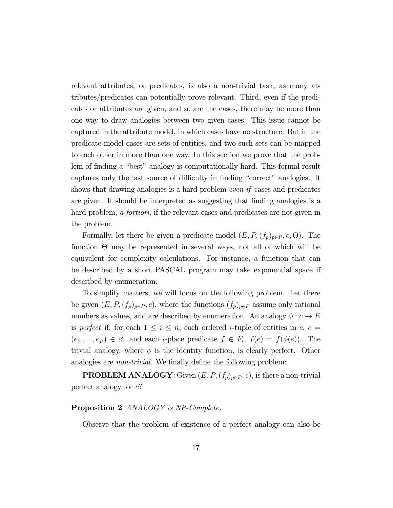relevant attributes, or predicates, is also a non-trivial task, as many attributes/predicates can potentially prove relevant. Third, even if the predicates or attributes are given, and so are the cases, there may be more than one way to draw analogies between two given cases. This issue cannot be captured in the attribute model, in which cases have no structure. But in the predicate model cases are sets of entities, and two such sets can be mapped to each other in more than one way. In this section we prove that the problem of finding a "best" analogy is computationally hard. This formal result captures only the last source of difficulty in finding "correct" analogies. It shows that drawing analogies is a hard problem even if cases and predicates are given. It should be interpreted as suggesting that finding analogies is a hard problem, a fortiori, if the relevant cases and predicates are not given in the problem.

Formally, let there be given a predicate model  $(E, P, (f_p)_{p \in P}, c, \Theta)$ . The function Θ may be represented in several ways, not all of which will be equivalent for complexity calculations. For instance, a function that can be described by a short PASCAL program may take exponential space if described by enumeration.

To simplify matters, we will focus on the following problem. Let there be given  $(E, P, (f_p)_{p \in P}, c)$ , where the functions  $(f_p)_{p \in P}$  assume only rational numbers as values, and are described by enumeration. An analogy  $\phi: c \to E$ is perfect if, for each  $1 \leq i \leq n$ , each ordered *i*-tuple of entities in c, e =  $(e_{j_1},...,e_{j_i}) \in c^i$ , and each *i*-place predicate  $f \in F_i$ ,  $f(e) = f(\phi(e))$ . The trivial analogy, where  $\phi$  is the identity function, is clearly perfect. Other analogies are *non-trivial*. We finally define the following problem:

**PROBLEM ANALOGY**: Given  $(E, P, (f_p)_{p \in P}, c)$ , is there a non-trivial perfect analogy for  $c$ ?

#### Proposition 2 ANALOGY is NP-Complete.

Observe that the problem of existence of a perfect analogy can also be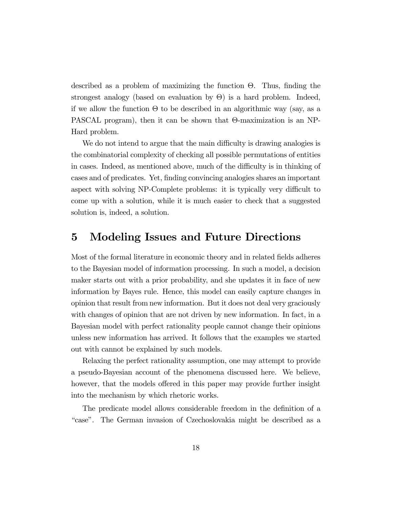described as a problem of maximizing the function Θ. Thus, finding the strongest analogy (based on evaluation by  $\Theta$ ) is a hard problem. Indeed, if we allow the function  $\Theta$  to be described in an algorithmic way (say, as a PASCAL program), then it can be shown that Θ-maximization is an NP-Hard problem.

We do not intend to argue that the main difficulty is drawing analogies is the combinatorial complexity of checking all possible permutations of entities in cases. Indeed, as mentioned above, much of the difficulty is in thinking of cases and of predicates. Yet, finding convincing analogies shares an important aspect with solving NP-Complete problems: it is typically very difficult to come up with a solution, while it is much easier to check that a suggested solution is, indeed, a solution.

## 5 Modeling Issues and Future Directions

Most of the formal literature in economic theory and in related fields adheres to the Bayesian model of information processing. In such a model, a decision maker starts out with a prior probability, and she updates it in face of new information by Bayes rule. Hence, this model can easily capture changes in opinion that result from new information. But it does not deal very graciously with changes of opinion that are not driven by new information. In fact, in a Bayesian model with perfect rationality people cannot change their opinions unless new information has arrived. It follows that the examples we started out with cannot be explained by such models.

Relaxing the perfect rationality assumption, one may attempt to provide a pseudo-Bayesian account of the phenomena discussed here. We believe, however, that the models offered in this paper may provide further insight into the mechanism by which rhetoric works.

The predicate model allows considerable freedom in the definition of a "case". The German invasion of Czechoslovakia might be described as a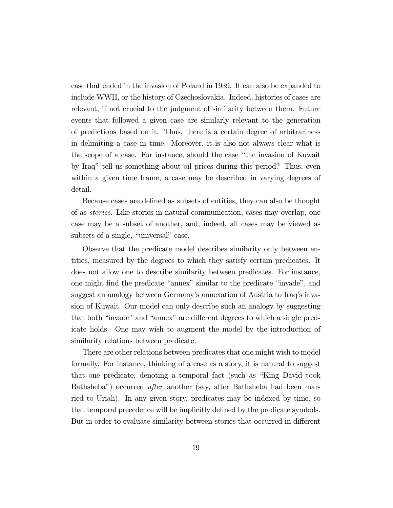case that ended in the invasion of Poland in 1939. It can also be expanded to include WWII, or the history of Czechoslovakia. Indeed, histories of cases are relevant, if not crucial to the judgment of similarity between them. Future events that followed a given case are similarly relevant to the generation of predictions based on it. Thus, there is a certain degree of arbitrariness in delimiting a case in time. Moreover, it is also not always clear what is the scope of a case. For instance, should the case "the invasion of Kuwait by Iraq" tell us something about oil prices during this period? Thus, even within a given time frame, a case may be described in varying degrees of detail.

Because cases are defined as subsets of entities, they can also be thought of as stories. Like stories in natural communication, cases may overlap, one case may be a subset of another, and, indeed, all cases may be viewed as subsets of a single, "universal" case.

Observe that the predicate model describes similarity only between entities, measured by the degrees to which they satisfy certain predicates. It does not allow one to describe similarity between predicates. For instance, one might find the predicate "annex" similar to the predicate "invade", and suggest an analogy between Germany's annexation of Austria to Iraq's invasion of Kuwait. Our model can only describe such an analogy by suggesting that both "invade" and "annex" are different degrees to which a single predicate holds. One may wish to augment the model by the introduction of similarity relations between predicate.

There are other relations between predicates that one might wish to model formally. For instance, thinking of a case as a story, it is natural to suggest that one predicate, denoting a temporal fact (such as "King David took Bathsheba") occurred after another (say, after Bathsheba had been married to Uriah). In any given story, predicates may be indexed by time, so that temporal precedence will be implicitly defined by the predicate symbols. But in order to evaluate similarity between stories that occurred in different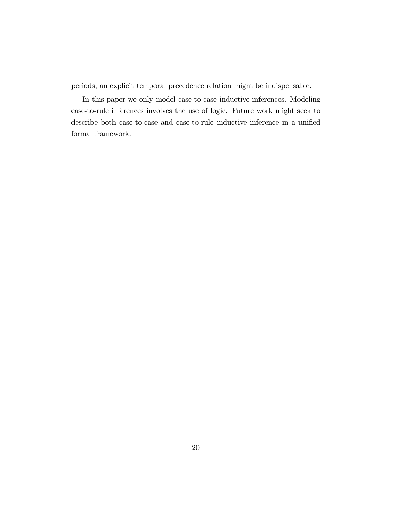periods, an explicit temporal precedence relation might be indispensable.

In this paper we only model case-to-case inductive inferences. Modeling case-to-rule inferences involves the use of logic. Future work might seek to describe both case-to-case and case-to-rule inductive inference in a unified formal framework.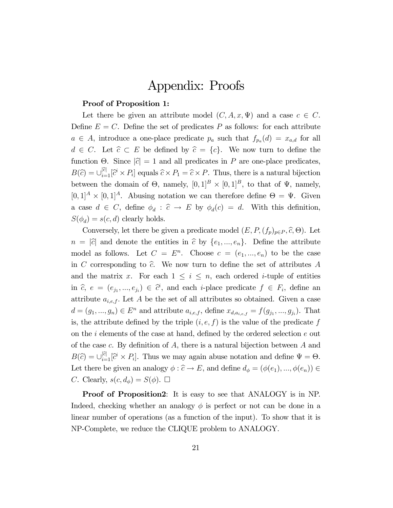# Appendix: Proofs

#### Proof of Proposition 1:

Let there be given an attribute model  $(C, A, x, \Psi)$  and a case  $c \in C$ . Define  $E = C$ . Define the set of predicates P as follows: for each attribute  $a \in A$ , introduce a one-place predicate  $p_a$  such that  $f_{p_a}(d) = x_{a,d}$  for all  $d \in C$ . Let  $\hat{c} \subset E$  be defined by  $\hat{c} = \{c\}$ . We now turn to define the function Θ. Since  $|\hat{c}| = 1$  and all predicates in P are one-place predicates,  $B(\hat{c}) = \bigcup_{i=1}^{|\hat{c}|} [\hat{c}^i \times P_i]$  equals  $\hat{c} \times P_1 = \hat{c} \times P$ . Thus, there is a natural bijection between the domain of  $\Theta$ , namely,  $[0, 1]^B \times [0, 1]^B$ , to that of  $\Psi$ , namely,  $[0,1]^A \times [0,1]^A$ . Abusing notation we can therefore define  $\Theta = \Psi$ . Given a case  $d \in C$ , define  $\phi_d : \hat{c} \to E$  by  $\phi_d(c) = d$ . With this definition,  $S(\phi_d) = s(c, d)$  clearly holds.

Conversely, let there be given a predicate model  $(E, P, (f_p)_{p \in P}, \widehat{c}, \Theta)$ . Let  $n = |\hat{c}|$  and denote the entities in  $\hat{c}$  by  $\{e_1, ..., e_n\}$ . Define the attribute model as follows. Let  $C = E<sup>n</sup>$ . Choose  $c = (e_1, ..., e_n)$  to be the case in C corresponding to  $\hat{c}$ . We now turn to define the set of attributes A and the matrix x. For each  $1 \leq i \leq n$ , each ordered *i*-tuple of entities in  $\hat{c}$ ,  $e = (e_{j_1}, ..., e_{j_i}) \in \hat{c}^i$ , and each *i*-place predicate  $f \in F_i$ , define an attribute  $a_{i,e,f}$ . Let A be the set of all attributes so obtained. Given a case  $d = (g_1, ..., g_n) \in E^n$  and attribute  $a_{i,e,f}$ , define  $x_{d,a_{i,e,f}} = f(g_{j_1}, ..., g_{j_i})$ . That is, the attribute defined by the triple  $(i, e, f)$  is the value of the predicate f on the i elements of the case at hand, defined by the ordered selection  $e$  out of the case  $c$ . By definition of  $A$ , there is a natural bijection between  $A$  and  $B(\hat{c}) = \bigcup_{i=1}^{|\hat{c}|} [\hat{c}^i \times P_i].$  Thus we may again abuse notation and define  $\Psi = \Theta$ . Let there be given an analogy  $\phi : \hat{c} \to E$ , and define  $d_{\phi} = (\phi(e_1), ..., \phi(e_n)) \in$ *C*. Clearly,  $s(c, d_{\phi}) = S(\phi)$ .  $\Box$ 

**Proof of Proposition2**: It is easy to see that ANALOGY is in NP. Indeed, checking whether an analogy  $\phi$  is perfect or not can be done in a linear number of operations (as a function of the input). To show that it is NP-Complete, we reduce the CLIQUE problem to ANALOGY.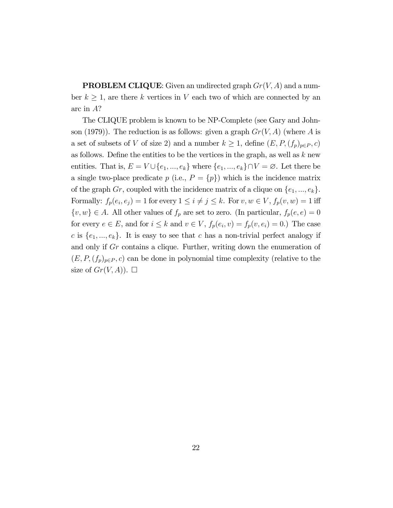**PROBLEM CLIQUE:** Given an undirected graph  $Gr(V, A)$  and a number  $k \geq 1$ , are there k vertices in V each two of which are connected by an arc in A?

The CLIQUE problem is known to be NP-Complete (see Gary and Johnson (1979)). The reduction is as follows: given a graph  $Gr(V, A)$  (where A is a set of subsets of V of size 2) and a number  $k \ge 1$ , define  $(E, P, (f_p)_{p \in P}, c)$ as follows. Define the entities to be the vertices in the graph, as well as  $k$  new entities. That is,  $E = V \cup \{e_1, ..., e_k\}$  where  $\{e_1, ..., e_k\} \cap V = \emptyset$ . Let there be a single two-place predicate  $p$  (i.e.,  $P = \{p\}$ ) which is the incidence matrix of the graph  $Gr$ , coupled with the incidence matrix of a clique on  $\{e_1, ..., e_k\}$ . Formally:  $f_p(e_i, e_j) = 1$  for every  $1 \leq i \neq j \leq k$ . For  $v, w \in V$ ,  $f_p(v, w) = 1$  iff  $\{v, w\} \in A$ . All other values of  $f_p$  are set to zero. (In particular,  $f_p(e, e) = 0$ for every  $e \in E$ , and for  $i \leq k$  and  $v \in V$ ,  $f_p(e_i, v) = f_p(v, e_i) = 0$ .) The case c is  $\{e_1, ..., e_k\}$ . It is easy to see that c has a non-trivial perfect analogy if and only if Gr contains a clique. Further, writing down the enumeration of  $(E, P, (f_p)_{p \in P}, c)$  can be done in polynomial time complexity (relative to the size of  $Gr(V, A)$ .  $\square$